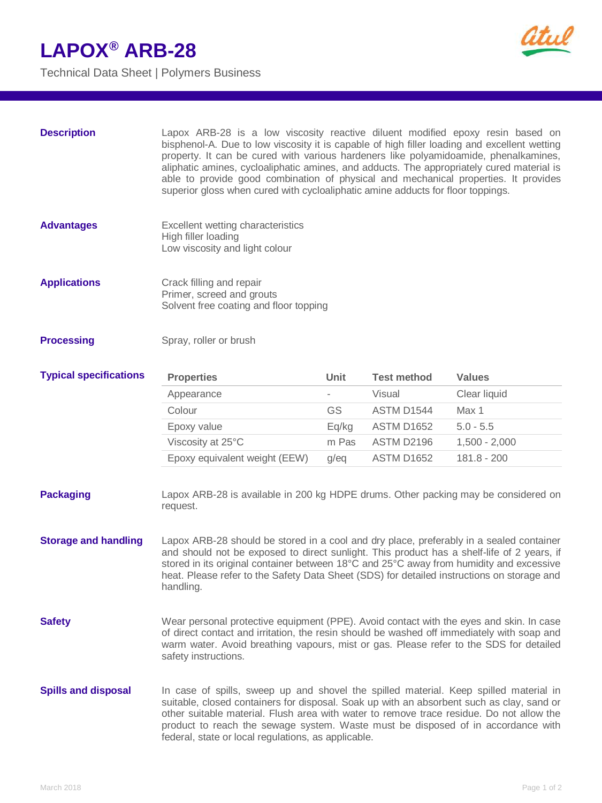## **LAPOX® ARB-28**

Technical Data Sheet | Polymers Business



| <b>Description</b> | Lapox ARB-28 is a low viscosity reactive diluent modified epoxy resin based on               |
|--------------------|----------------------------------------------------------------------------------------------|
|                    | bisphenol-A. Due to low viscosity it is capable of high filler loading and excellent wetting |
|                    | property. It can be cured with various hardeners like polyamidoamide, phenalkamines,         |
|                    | aliphatic amines, cycloaliphatic amines, and adducts. The appropriately cured material is    |
|                    | able to provide good combination of physical and mechanical properties. It provides          |
|                    | superior gloss when cured with cycloaliphatic amine adducts for floor toppings.              |

- **Advantages** Excellent wetting characteristics High filler loading Low viscosity and light colour
- **Applications** Crack filling and repair Primer, screed and grouts Solvent free coating and floor topping

## **Processing** Spray, roller or brush

| <b>Typical specifications</b> | <b>Properties</b>             | Unit    | <b>Test method</b> | <b>Values</b>   |
|-------------------------------|-------------------------------|---------|--------------------|-----------------|
|                               | Appearance                    | -       | Visual             | Clear liquid    |
|                               | Colour                        | GS      | ASTM D1544         | Max 1           |
|                               | Epoxy value                   | Eg/kg   | ASTM D1652         | $5.0 - 5.5$     |
|                               | Viscosity at 25°C             | m Pas   | ASTM D2196         | $1,500 - 2,000$ |
|                               | Epoxy equivalent weight (EEW) | $q$ /eq | <b>ASTM D1652</b>  | 181.8 - 200     |

- **Packaging** Lapox ARB-28 is available in 200 kg HDPE drums. Other packing may be considered on request.
- **Storage and handling** Lapox ARB-28 should be stored in a cool and dry place, preferably in a sealed container and should not be exposed to direct sunlight. This product has a shelf-life of 2 years, if stored in its original container between 18°C and 25°C away from humidity and excessive heat. Please refer to the Safety Data Sheet (SDS) for detailed instructions on storage and handling.
- **Safety** Wear personal protective equipment (PPE). Avoid contact with the eyes and skin. In case of direct contact and irritation, the resin should be washed off immediately with soap and warm water. Avoid breathing vapours, mist or gas. Please refer to the SDS for detailed safety instructions.
- **Spills and disposal** In case of spills, sweep up and shovel the spilled material. Keep spilled material in suitable, closed containers for disposal. Soak up with an absorbent such as clay, sand or other suitable material. Flush area with water to remove trace residue. Do not allow the product to reach the sewage system. Waste must be disposed of in accordance with federal, state or local regulations, as applicable.